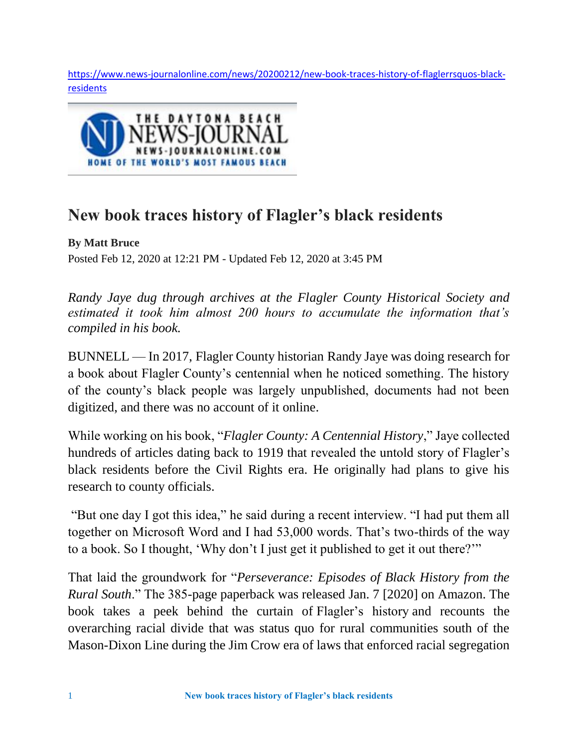[https://www.news-journalonline.com/news/20200212/new-book-traces-history-of-flaglerrsquos-black](https://www.news-journalonline.com/news/20200212/new-book-traces-history-of-flaglerrsquos-black-residents)[residents](https://www.news-journalonline.com/news/20200212/new-book-traces-history-of-flaglerrsquos-black-residents)



## **New book traces history of Flagler's black residents**

**By Matt Bruce** Posted Feb 12, 2020 at 12:21 PM - Updated Feb 12, 2020 at 3:45 PM

*Randy Jaye dug through archives at the Flagler County Historical Society and estimated it took him almost 200 hours to accumulate the information that's compiled in his book.*

BUNNELL — In 2017, Flagler County historian Randy Jaye was doing research for a book about Flagler County's centennial when he noticed something. The history of the county's black people was largely unpublished, documents had not been digitized, and there was no account of it online.

While working on his book, "*Flagler County: A Centennial History*," Jaye collected hundreds of articles dating back to 1919 that revealed the untold story of Flagler's black residents before the Civil Rights era. He originally had plans to give his research to county officials.

"But one day I got this idea," he said during a recent interview. "I had put them all together on Microsoft Word and I had 53,000 words. That's two-thirds of the way to a book. So I thought, 'Why don't I just get it published to get it out there?'"

That laid the groundwork for "*Perseverance: Episodes of Black History from the Rural South*." The 385-page paperback was released Jan. 7 [2020] on Amazon. The book takes a peek behind the curtain of Flagler's history and recounts the overarching racial divide that was status quo for rural communities south of the Mason-Dixon Line during the Jim Crow era of laws that enforced racial segregation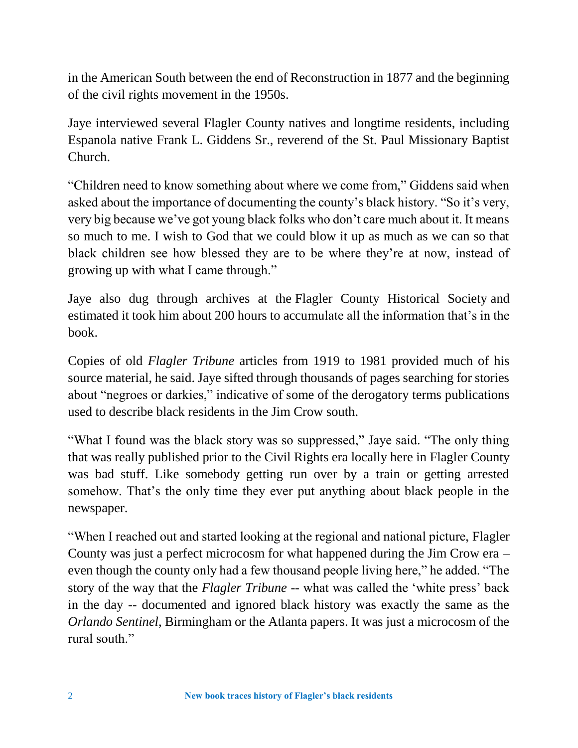in the American South between the end of Reconstruction in 1877 and the beginning of the civil rights movement in the 1950s.

Jaye interviewed several Flagler County natives and longtime residents, including Espanola native Frank L. Giddens Sr., reverend of the St. Paul Missionary Baptist Church.

"Children need to know something about where we come from," Giddens said when asked about the importance of documenting the county's black history. "So it's very, very big because we've got young black folks who don't care much about it. It means so much to me. I wish to God that we could blow it up as much as we can so that black children see how blessed they are to be where they're at now, instead of growing up with what I came through."

Jaye also dug through archives at the Flagler County Historical Society and estimated it took him about 200 hours to accumulate all the information that's in the book.

Copies of old *Flagler Tribune* articles from 1919 to 1981 provided much of his source material, he said. Jaye sifted through thousands of pages searching for stories about "negroes or darkies," indicative of some of the derogatory terms publications used to describe black residents in the Jim Crow south.

"What I found was the black story was so suppressed," Jaye said. "The only thing that was really published prior to the Civil Rights era locally here in Flagler County was bad stuff. Like somebody getting run over by a train or getting arrested somehow. That's the only time they ever put anything about black people in the newspaper.

"When I reached out and started looking at the regional and national picture, Flagler County was just a perfect microcosm for what happened during the Jim Crow era – even though the county only had a few thousand people living here," he added. "The story of the way that the *Flagler Tribune* -- what was called the 'white press' back in the day -- documented and ignored black history was exactly the same as the *Orlando Sentinel*, Birmingham or the Atlanta papers. It was just a microcosm of the rural south."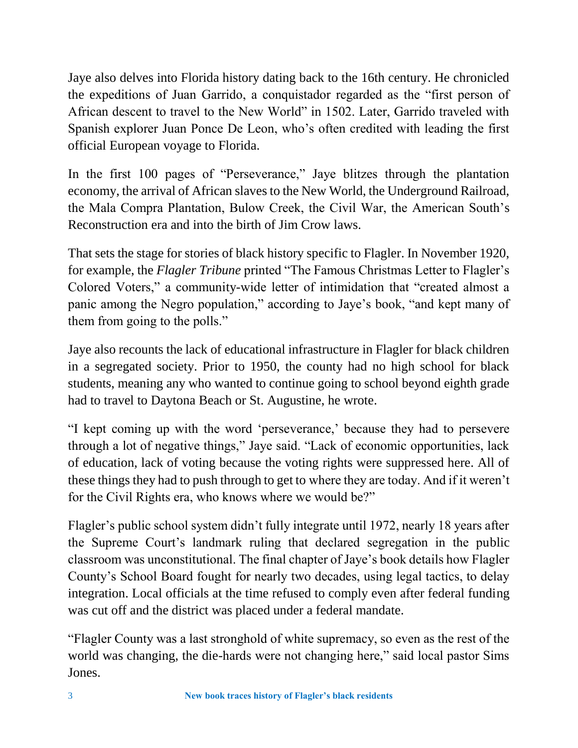Jaye also delves into Florida history dating back to the 16th century. He chronicled the expeditions of Juan Garrido, a conquistador regarded as the "first person of African descent to travel to the New World" in 1502. Later, Garrido traveled with Spanish explorer Juan Ponce De Leon, who's often credited with leading the first official European voyage to Florida.

In the first 100 pages of "Perseverance," Jaye blitzes through the plantation economy, the arrival of African slaves to the New World, the Underground Railroad, the Mala Compra Plantation, Bulow Creek, the Civil War, the American South's Reconstruction era and into the birth of Jim Crow laws.

That sets the stage for stories of black history specific to Flagler. In November 1920, for example, the *Flagler Tribune* printed "The Famous Christmas Letter to Flagler's Colored Voters," a community-wide letter of intimidation that "created almost a panic among the Negro population," according to Jaye's book, "and kept many of them from going to the polls."

Jaye also recounts the lack of educational infrastructure in Flagler for black children in a segregated society. Prior to 1950, the county had no high school for black students, meaning any who wanted to continue going to school beyond eighth grade had to travel to Daytona Beach or St. Augustine, he wrote.

"I kept coming up with the word 'perseverance,' because they had to persevere through a lot of negative things," Jaye said. "Lack of economic opportunities, lack of education, lack of voting because the voting rights were suppressed here. All of these things they had to push through to get to where they are today. And if it weren't for the Civil Rights era, who knows where we would be?"

Flagler's public school system didn't fully integrate until 1972, nearly 18 years after the Supreme Court's landmark ruling that declared segregation in the public classroom was unconstitutional. The final chapter of Jaye's book details how Flagler County's School Board fought for nearly two decades, using legal tactics, to delay integration. Local officials at the time refused to comply even after federal funding was cut off and the district was placed under a federal mandate.

"Flagler County was a last stronghold of white supremacy, so even as the rest of the world was changing, the die-hards were not changing here," said local pastor Sims Jones.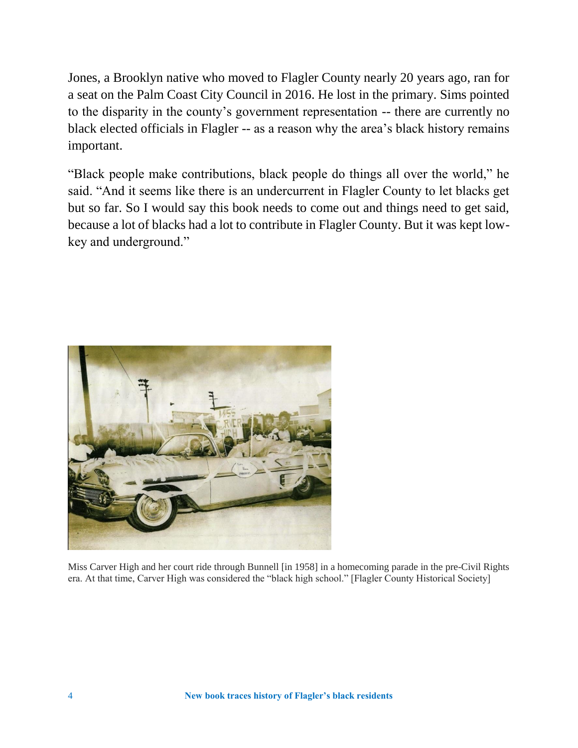Jones, a Brooklyn native who moved to Flagler County nearly 20 years ago, ran for a seat on the Palm Coast City Council in 2016. He lost in the primary. Sims pointed to the disparity in the county's government representation -- there are currently no black elected officials in Flagler -- as a reason why the area's black history remains important.

"Black people make contributions, black people do things all over the world," he said. "And it seems like there is an undercurrent in Flagler County to let blacks get but so far. So I would say this book needs to come out and things need to get said, because a lot of blacks had a lot to contribute in Flagler County. But it was kept lowkey and underground."



Miss Carver High and her court ride through Bunnell [in 1958] in a homecoming parade in the pre-Civil Rights era. At that time, Carver High was considered the "black high school." [Flagler County Historical Society]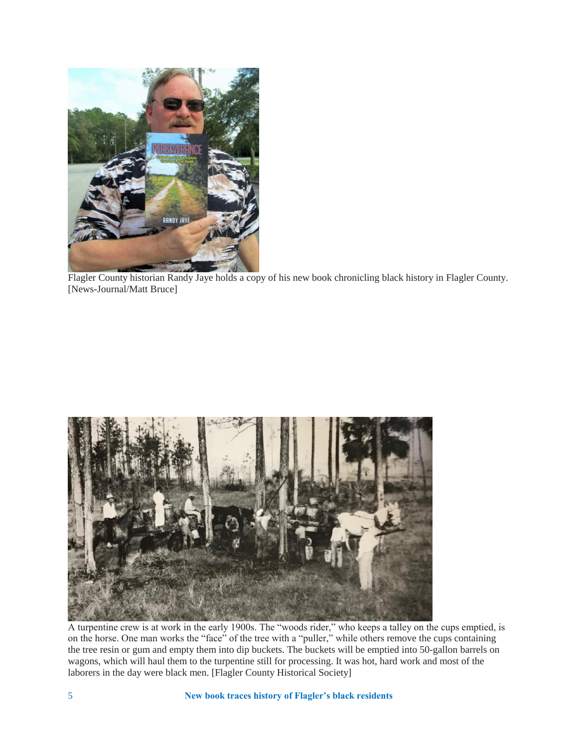

Flagler County historian Randy Jaye holds a copy of his new book chronicling black history in Flagler County. [News-Journal/Matt Bruce]



A turpentine crew is at work in the early 1900s. The "woods rider," who keeps a talley on the cups emptied, is on the horse. One man works the "face" of the tree with a "puller," while others remove the cups containing the tree resin or gum and empty them into dip buckets. The buckets will be emptied into 50-gallon barrels on wagons, which will haul them to the turpentine still for processing. It was hot, hard work and most of the laborers in the day were black men. [Flagler County Historical Society]